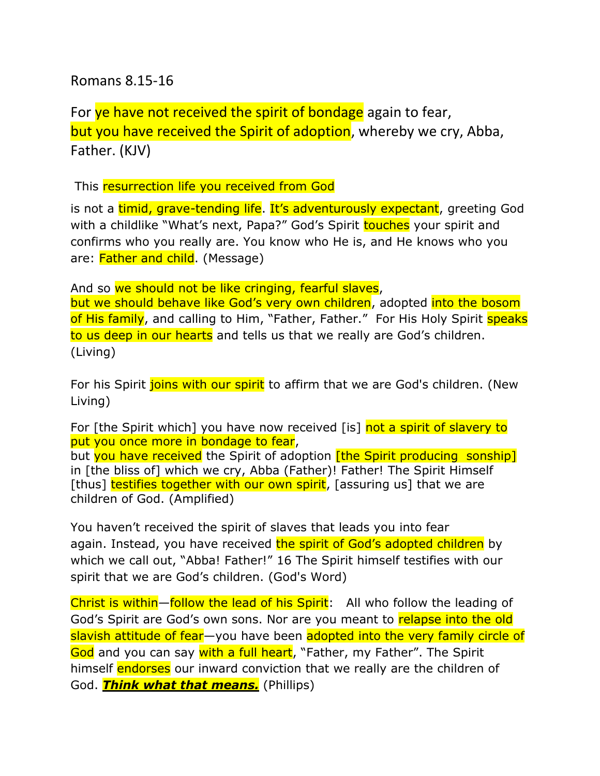Romans 8.15-16

For ye have not received the spirit of bondage again to fear, but you have received the Spirit of adoption, whereby we cry, Abba, Father. (KJV)

This resurrection life you received from God

is not a timid, grave-tending life. It's adventurously expectant, greeting God with a childlike "What's next, Papa?" God's Spirit touches your spirit and confirms who you really are. You know who He is, and He knows who you are: **Father and child.** (Message)

And so we should not be like cringing, fearful slaves,

but we should behave like God's very own children, adopted into the bosom of His family, and calling to Him, "Father, Father." For His Holy Spirit speaks to us deep in our hearts and tells us that we really are God's children. (Living)

For his Spirit joins with our spirit to affirm that we are God's children. (New Living)

For [the Spirit which] you have now received [is] not a spirit of slavery to put you once more in bondage to fear,

but you have received the Spirit of adoption *[the Spirit producing sonship]* in [the bliss of] which we cry, Abba (Father)! Father! The Spirit Himself [thus] testifies together with our own spirit, [assuring us] that we are children of God. (Amplified)

You haven't received the spirit of slaves that leads you into fear again. Instead, you have received the spirit of God's adopted children by which we call out, "Abba! Father!" 16 The Spirit himself testifies with our spirit that we are God's children. (God's Word)

Christ is within—follow the lead of his Spirit: All who follow the leading of God's Spirit are God's own sons. Nor are you meant to relapse into the old slavish attitude of fear—you have been adopted into the very family circle of God and you can say with a full heart, "Father, my Father". The Spirit himself endorses our inward conviction that we really are the children of God. *Think what that means.* (Phillips)